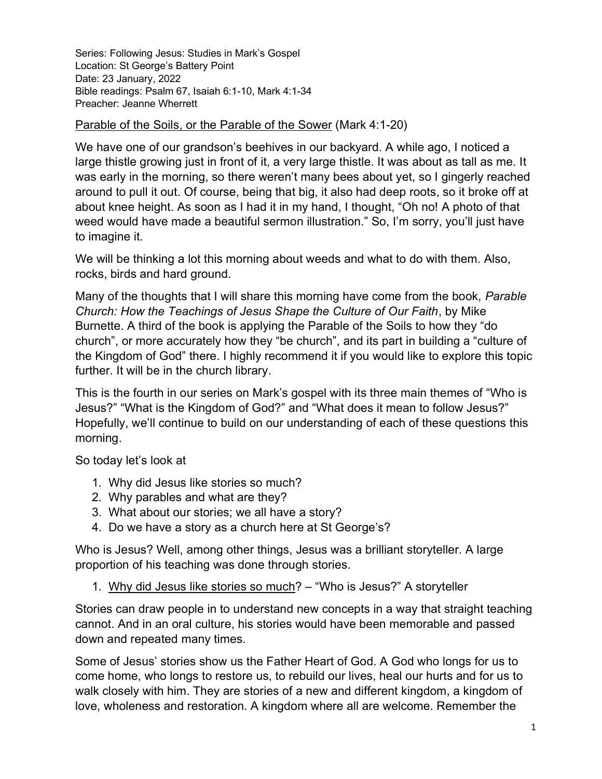Series: Following Jesus: Studies in Mark's Gospel Location: St George's Battery Point Date: 23 January, 2022 Bible readings: Psalm 67, Isaiah 6:1-10, Mark 4:1-34 Preacher: Jeanne Wherrett

## Parable of the Soils, or the Parable of the Sower (Mark 4:1-20)

We have one of our grandson's beehives in our backyard. A while ago, I noticed a large thistle growing just in front of it, a very large thistle. It was about as tall as me. It was early in the morning, so there weren't many bees about yet, so I gingerly reached around to pull it out. Of course, being that big, it also had deep roots, so it broke off at about knee height. As soon as I had it in my hand, I thought, "Oh no! A photo of that weed would have made a beautiful sermon illustration." So, I'm sorry, you'll just have to imagine it.

We will be thinking a lot this morning about weeds and what to do with them. Also, rocks, birds and hard ground.

Many of the thoughts that I will share this morning have come from the book, *Parable* Church: How the Teachings of Jesus Shape the Culture of Our Faith, by Mike Burnette. A third of the book is applying the Parable of the Soils to how they "do church", or more accurately how they "be church", and its part in building a "culture of the Kingdom of God" there. I highly recommend it if you would like to explore this topic further. It will be in the church library.

This is the fourth in our series on Mark's gospel with its three main themes of "Who is Jesus?" "What is the Kingdom of God?" and "What does it mean to follow Jesus?" Hopefully, we'll continue to build on our understanding of each of these questions this morning.

So today let's look at

- 1. Why did Jesus like stories so much?
- 2. Why parables and what are they?
- 3. What about our stories; we all have a story?
- 4. Do we have a story as a church here at St George's?

Who is Jesus? Well, among other things, Jesus was a brilliant storyteller. A large proportion of his teaching was done through stories.

1. Why did Jesus like stories so much? – "Who is Jesus?" A storyteller

Stories can draw people in to understand new concepts in a way that straight teaching cannot. And in an oral culture, his stories would have been memorable and passed down and repeated many times.

Some of Jesus' stories show us the Father Heart of God. A God who longs for us to come home, who longs to restore us, to rebuild our lives, heal our hurts and for us to walk closely with him. They are stories of a new and different kingdom, a kingdom of love, wholeness and restoration. A kingdom where all are welcome. Remember the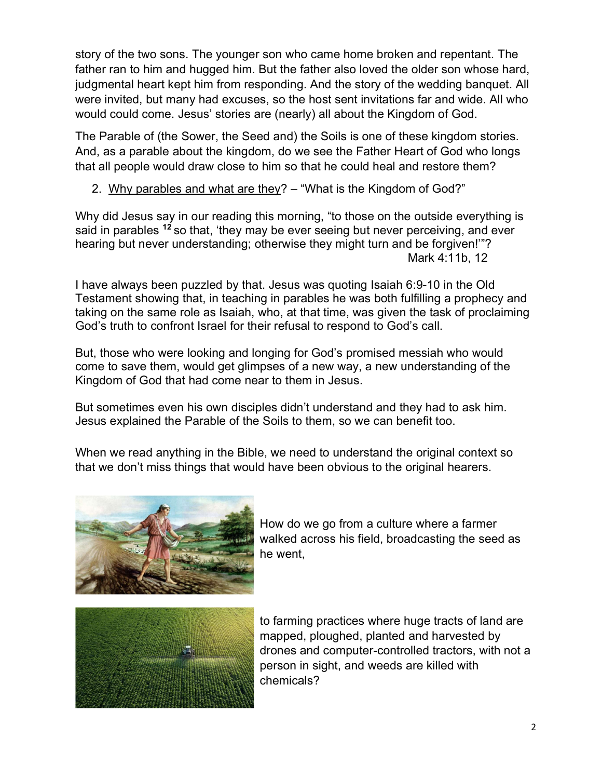story of the two sons. The younger son who came home broken and repentant. The father ran to him and hugged him. But the father also loved the older son whose hard, judgmental heart kept him from responding. And the story of the wedding banquet. All were invited, but many had excuses, so the host sent invitations far and wide. All who would could come. Jesus' stories are (nearly) all about the Kingdom of God.

The Parable of (the Sower, the Seed and) the Soils is one of these kingdom stories. And, as a parable about the kingdom, do we see the Father Heart of God who longs that all people would draw close to him so that he could heal and restore them?

## 2. Why parables and what are they? – "What is the Kingdom of God?"

Why did Jesus say in our reading this morning, "to those on the outside everything is said in parables <sup>12</sup> so that, 'they may be ever seeing but never perceiving, and ever hearing but never understanding; otherwise they might turn and be forgiven!'"? Mark 4:11b, 12

I have always been puzzled by that. Jesus was quoting Isaiah 6:9-10 in the Old Testament showing that, in teaching in parables he was both fulfilling a prophecy and taking on the same role as Isaiah, who, at that time, was given the task of proclaiming God's truth to confront Israel for their refusal to respond to God's call.

But, those who were looking and longing for God's promised messiah who would come to save them, would get glimpses of a new way, a new understanding of the Kingdom of God that had come near to them in Jesus.

But sometimes even his own disciples didn't understand and they had to ask him. Jesus explained the Parable of the Soils to them, so we can benefit too.

When we read anything in the Bible, we need to understand the original context so that we don't miss things that would have been obvious to the original hearers.



How do we go from a culture where a farmer walked across his field, broadcasting the seed as he went,



to farming practices where huge tracts of land are mapped, ploughed, planted and harvested by drones and computer-controlled tractors, with not a person in sight, and weeds are killed with chemicals?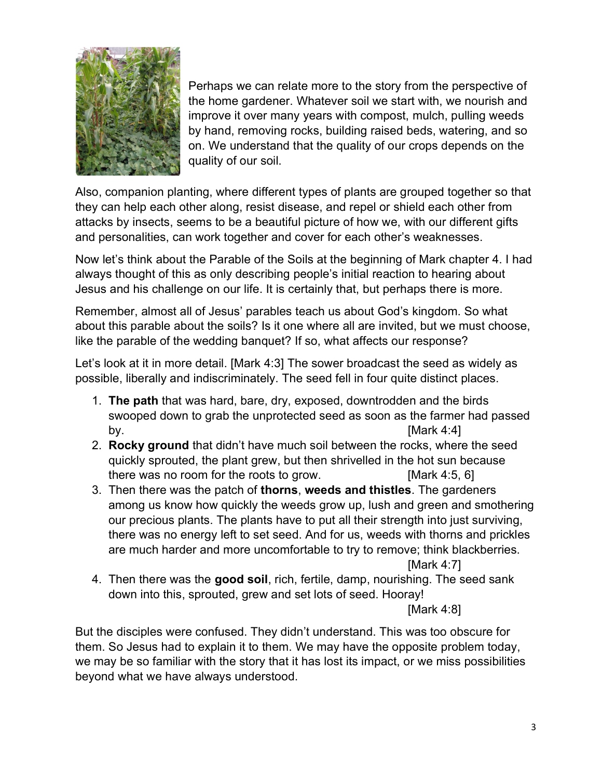

Perhaps we can relate more to the story from the perspective of the home gardener. Whatever soil we start with, we nourish and improve it over many years with compost, mulch, pulling weeds by hand, removing rocks, building raised beds, watering, and so on. We understand that the quality of our crops depends on the quality of our soil.

Also, companion planting, where different types of plants are grouped together so that they can help each other along, resist disease, and repel or shield each other from attacks by insects, seems to be a beautiful picture of how we, with our different gifts and personalities, can work together and cover for each other's weaknesses.

Now let's think about the Parable of the Soils at the beginning of Mark chapter 4. I had always thought of this as only describing people's initial reaction to hearing about Jesus and his challenge on our life. It is certainly that, but perhaps there is more.

Remember, almost all of Jesus' parables teach us about God's kingdom. So what about this parable about the soils? Is it one where all are invited, but we must choose, like the parable of the wedding banquet? If so, what affects our response?

Let's look at it in more detail. [Mark 4:3] The sower broadcast the seed as widely as possible, liberally and indiscriminately. The seed fell in four quite distinct places.

- 1. The path that was hard, bare, dry, exposed, downtrodden and the birds swooped down to grab the unprotected seed as soon as the farmer had passed by.  $[Mark 4:4]$
- 2. Rocky ground that didn't have much soil between the rocks, where the seed quickly sprouted, the plant grew, but then shrivelled in the hot sun because there was no room for the roots to grow. [Mark 4:5, 6]
- 3. Then there was the patch of thorns, weeds and thistles. The gardeners among us know how quickly the weeds grow up, lush and green and smothering our precious plants. The plants have to put all their strength into just surviving, there was no energy left to set seed. And for us, weeds with thorns and prickles are much harder and more uncomfortable to try to remove; think blackberries.

[Mark 4:7]

4. Then there was the good soil, rich, fertile, damp, nourishing. The seed sank down into this, sprouted, grew and set lots of seed. Hooray!

[Mark 4:8]

But the disciples were confused. They didn't understand. This was too obscure for them. So Jesus had to explain it to them. We may have the opposite problem today, we may be so familiar with the story that it has lost its impact, or we miss possibilities beyond what we have always understood.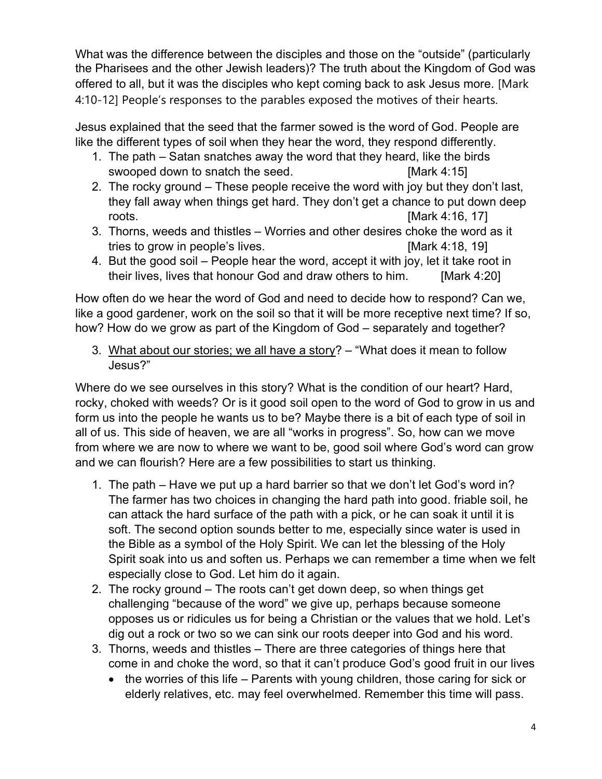What was the difference between the disciples and those on the "outside" (particularly the Pharisees and the other Jewish leaders)? The truth about the Kingdom of God was offered to all, but it was the disciples who kept coming back to ask Jesus more. [Mark 4:10-12] People's responses to the parables exposed the motives of their hearts.

Jesus explained that the seed that the farmer sowed is the word of God. People are like the different types of soil when they hear the word, they respond differently.

- 1. The path Satan snatches away the word that they heard, like the birds swooped down to snatch the seed. [Mark 4:15]
- 2. The rocky ground These people receive the word with joy but they don't last, they fall away when things get hard. They don't get a chance to put down deep roots. [Mark 4:16, 17]
- 3. Thorns, weeds and thistles Worries and other desires choke the word as it tries to grow in people's lives. [Mark 4:18, 19]
- 4. But the good soil People hear the word, accept it with joy, let it take root in their lives, lives that honour God and draw others to him. [Mark 4:20]

How often do we hear the word of God and need to decide how to respond? Can we, like a good gardener, work on the soil so that it will be more receptive next time? If so, how? How do we grow as part of the Kingdom of God – separately and together?

3. What about our stories; we all have a story?  $-$  "What does it mean to follow Jesus?"

Where do we see ourselves in this story? What is the condition of our heart? Hard, rocky, choked with weeds? Or is it good soil open to the word of God to grow in us and form us into the people he wants us to be? Maybe there is a bit of each type of soil in all of us. This side of heaven, we are all "works in progress". So, how can we move from where we are now to where we want to be, good soil where God's word can grow and we can flourish? Here are a few possibilities to start us thinking.

- 1. The path Have we put up a hard barrier so that we don't let God's word in? The farmer has two choices in changing the hard path into good. friable soil, he can attack the hard surface of the path with a pick, or he can soak it until it is soft. The second option sounds better to me, especially since water is used in the Bible as a symbol of the Holy Spirit. We can let the blessing of the Holy Spirit soak into us and soften us. Perhaps we can remember a time when we felt especially close to God. Let him do it again.
- 2. The rocky ground The roots can't get down deep, so when things get challenging "because of the word" we give up, perhaps because someone opposes us or ridicules us for being a Christian or the values that we hold. Let's dig out a rock or two so we can sink our roots deeper into God and his word.
- 3. Thorns, weeds and thistles There are three categories of things here that come in and choke the word, so that it can't produce God's good fruit in our lives
	- $\bullet$  the worries of this life Parents with young children, those caring for sick or elderly relatives, etc. may feel overwhelmed. Remember this time will pass.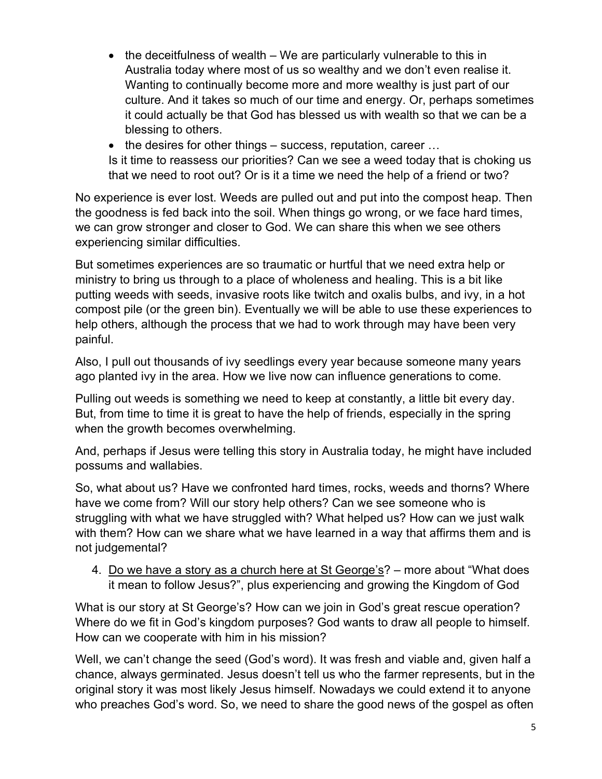- $\bullet$  the deceitfulness of wealth We are particularly vulnerable to this in Australia today where most of us so wealthy and we don't even realise it. Wanting to continually become more and more wealthy is just part of our culture. And it takes so much of our time and energy. Or, perhaps sometimes it could actually be that God has blessed us with wealth so that we can be a blessing to others.
- $\bullet$  the desires for other things success, reputation, career ...

Is it time to reassess our priorities? Can we see a weed today that is choking us that we need to root out? Or is it a time we need the help of a friend or two?

No experience is ever lost. Weeds are pulled out and put into the compost heap. Then the goodness is fed back into the soil. When things go wrong, or we face hard times, we can grow stronger and closer to God. We can share this when we see others experiencing similar difficulties.

But sometimes experiences are so traumatic or hurtful that we need extra help or ministry to bring us through to a place of wholeness and healing. This is a bit like putting weeds with seeds, invasive roots like twitch and oxalis bulbs, and ivy, in a hot compost pile (or the green bin). Eventually we will be able to use these experiences to help others, although the process that we had to work through may have been very painful.

Also, I pull out thousands of ivy seedlings every year because someone many years ago planted ivy in the area. How we live now can influence generations to come.

Pulling out weeds is something we need to keep at constantly, a little bit every day. But, from time to time it is great to have the help of friends, especially in the spring when the growth becomes overwhelming.

And, perhaps if Jesus were telling this story in Australia today, he might have included possums and wallabies.

So, what about us? Have we confronted hard times, rocks, weeds and thorns? Where have we come from? Will our story help others? Can we see someone who is struggling with what we have struggled with? What helped us? How can we just walk with them? How can we share what we have learned in a way that affirms them and is not judgemental?

4. Do we have a story as a church here at St George's? – more about "What does it mean to follow Jesus?", plus experiencing and growing the Kingdom of God

What is our story at St George's? How can we join in God's great rescue operation? Where do we fit in God's kingdom purposes? God wants to draw all people to himself. How can we cooperate with him in his mission?

Well, we can't change the seed (God's word). It was fresh and viable and, given half a chance, always germinated. Jesus doesn't tell us who the farmer represents, but in the original story it was most likely Jesus himself. Nowadays we could extend it to anyone who preaches God's word. So, we need to share the good news of the gospel as often